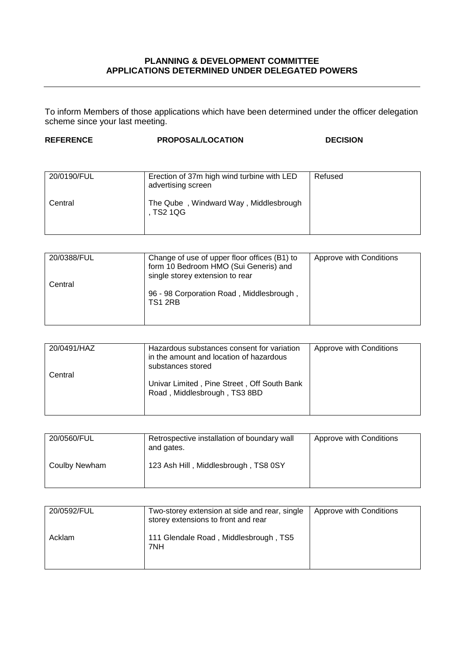## **PLANNING & DEVELOPMENT COMMITTEE APPLICATIONS DETERMINED UNDER DELEGATED POWERS**

To inform Members of those applications which have been determined under the officer delegation scheme since your last meeting.

## **REFERENCE PROPOSAL/LOCATION DECISION**

| 20/0190/FUL | Erection of 37m high wind turbine with LED<br>advertising screen | Refused |
|-------------|------------------------------------------------------------------|---------|
| Central     | The Qube, Windward Way, Middlesbrough<br>. TS2 1QG               |         |

| 20/0388/FUL | Change of use of upper floor offices (B1) to<br>form 10 Bedroom HMO (Sui Generis) and<br>single storey extension to rear | Approve with Conditions |
|-------------|--------------------------------------------------------------------------------------------------------------------------|-------------------------|
| Central     | 96 - 98 Corporation Road, Middlesbrough,<br>TS1 2RB                                                                      |                         |

| 20/0491/HAZ | Hazardous substances consent for variation<br>in the amount and location of hazardous<br>substances stored | Approve with Conditions |
|-------------|------------------------------------------------------------------------------------------------------------|-------------------------|
| Central     | Univar Limited, Pine Street, Off South Bank<br>Road, Middlesbrough, TS3 8BD                                |                         |

| 20/0560/FUL   | Retrospective installation of boundary wall<br>and gates. | Approve with Conditions |
|---------------|-----------------------------------------------------------|-------------------------|
| Coulby Newham | 123 Ash Hill, Middlesbrough, TS8 0SY                      |                         |

| 20/0592/FUL | Two-storey extension at side and rear, single<br>storey extensions to front and rear | Approve with Conditions |
|-------------|--------------------------------------------------------------------------------------|-------------------------|
| Acklam      | 111 Glendale Road, Middlesbrough, TS5<br>7NH                                         |                         |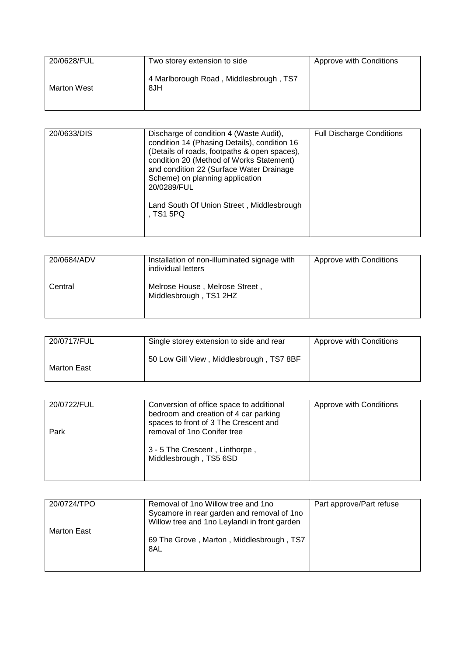| 20/0628/FUL        | Two storey extension to side                  | Approve with Conditions |
|--------------------|-----------------------------------------------|-------------------------|
| <b>Marton West</b> | 4 Marlborough Road, Middlesbrough, TS7<br>8JH |                         |

| 20/0633/DIS | Discharge of condition 4 (Waste Audit),<br>condition 14 (Phasing Details), condition 16<br>(Details of roads, footpaths & open spaces),<br>condition 20 (Method of Works Statement)<br>and condition 22 (Surface Water Drainage<br>Scheme) on planning application | <b>Full Discharge Conditions</b> |
|-------------|--------------------------------------------------------------------------------------------------------------------------------------------------------------------------------------------------------------------------------------------------------------------|----------------------------------|
|             | 20/0289/FUL<br>Land South Of Union Street, Middlesbrough<br>. TS1 5PQ                                                                                                                                                                                              |                                  |

| 20/0684/ADV | Installation of non-illuminated signage with<br>individual letters | Approve with Conditions |
|-------------|--------------------------------------------------------------------|-------------------------|
| Central     | Melrose House, Melrose Street,<br>Middlesbrough, TS1 2HZ           |                         |

| 20/0717/FUL | Single storey extension to side and rear | Approve with Conditions |
|-------------|------------------------------------------|-------------------------|
| Marton East | 50 Low Gill View, Middlesbrough, TS7 8BF |                         |

| 20/0722/FUL | Conversion of office space to additional<br>bedroom and creation of 4 car parking | Approve with Conditions |
|-------------|-----------------------------------------------------------------------------------|-------------------------|
| Park        | spaces to front of 3 The Crescent and<br>removal of 1no Conifer tree              |                         |
|             | 3 - 5 The Crescent, Linthorpe,<br>Middlesbrough, TS5 6SD                          |                         |

| 20/0724/TPO | Removal of 1no Willow tree and 1no<br>Sycamore in rear garden and removal of 1 no<br>Willow tree and 1no Leylandi in front garden | Part approve/Part refuse |
|-------------|-----------------------------------------------------------------------------------------------------------------------------------|--------------------------|
| Marton East | 69 The Grove, Marton, Middlesbrough, TS7<br>8AL                                                                                   |                          |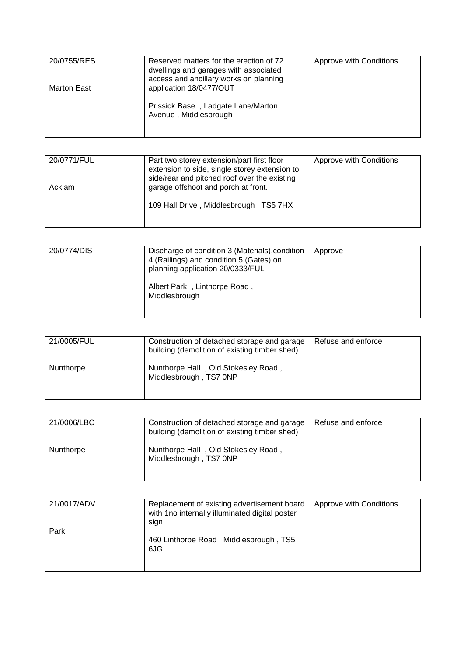| 20/0755/RES        | Reserved matters for the erection of 72<br>dwellings and garages with associated | Approve with Conditions |
|--------------------|----------------------------------------------------------------------------------|-------------------------|
| <b>Marton East</b> | access and ancillary works on planning<br>application 18/0477/OUT                |                         |
|                    | Prissick Base, Ladgate Lane/Marton<br>Avenue, Middlesbrough                      |                         |

| 20/0771/FUL<br>Acklam | Part two storey extension/part first floor<br>extension to side, single storey extension to<br>side/rear and pitched roof over the existing<br>garage offshoot and porch at front. | Approve with Conditions |
|-----------------------|------------------------------------------------------------------------------------------------------------------------------------------------------------------------------------|-------------------------|
|                       | 109 Hall Drive, Middlesbrough, TS5 7HX                                                                                                                                             |                         |

| 20/0774/DIS | Discharge of condition 3 (Materials), condition<br>4 (Railings) and condition 5 (Gates) on<br>planning application 20/0333/FUL | Approve |
|-------------|--------------------------------------------------------------------------------------------------------------------------------|---------|
|             | Albert Park, Linthorpe Road,<br>Middlesbrough                                                                                  |         |

| 21/0005/FUL | Construction of detached storage and garage<br>building (demolition of existing timber shed) | Refuse and enforce |
|-------------|----------------------------------------------------------------------------------------------|--------------------|
| Nunthorpe   | Nunthorpe Hall, Old Stokesley Road,<br>Middlesbrough, TS7 0NP                                |                    |

| 21/0006/LBC | Construction of detached storage and garage<br>building (demolition of existing timber shed) | Refuse and enforce |
|-------------|----------------------------------------------------------------------------------------------|--------------------|
| Nunthorpe   | Nunthorpe Hall, Old Stokesley Road,<br>Middlesbrough, TS7 0NP                                |                    |

| 21/0017/ADV<br>Park | Replacement of existing advertisement board<br>with 1no internally illuminated digital poster<br>sign | Approve with Conditions |
|---------------------|-------------------------------------------------------------------------------------------------------|-------------------------|
|                     | 460 Linthorpe Road, Middlesbrough, TS5<br>6JG                                                         |                         |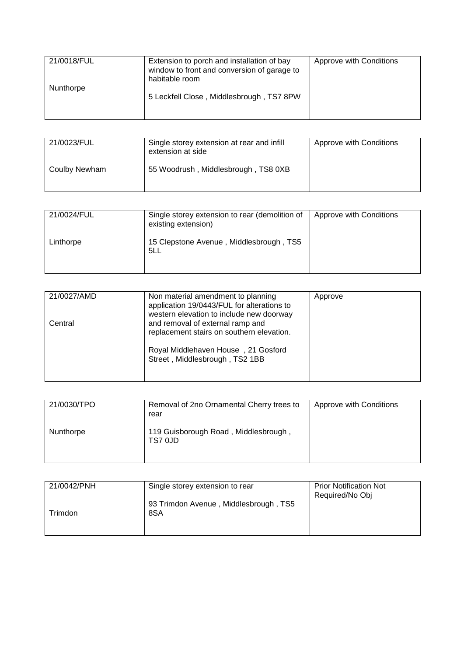| 21/0018/FUL | Extension to porch and installation of bay<br>window to front and conversion of garage to<br>habitable room | Approve with Conditions |
|-------------|-------------------------------------------------------------------------------------------------------------|-------------------------|
| Nunthorpe   | 5 Leckfell Close, Middlesbrough, TS7 8PW                                                                    |                         |

| 21/0023/FUL   | Single storey extension at rear and infill<br>extension at side | Approve with Conditions |
|---------------|-----------------------------------------------------------------|-------------------------|
| Coulby Newham | 55 Woodrush, Middlesbrough, TS8 0XB                             |                         |

| 21/0024/FUL | Single storey extension to rear (demolition of<br>existing extension) | Approve with Conditions |
|-------------|-----------------------------------------------------------------------|-------------------------|
| Linthorpe   | 15 Clepstone Avenue, Middlesbrough, TS5<br>5LL                        |                         |

| 21/0027/AMD | Non material amendment to planning<br>application 19/0443/FUL for alterations to<br>western elevation to include new doorway | Approve |
|-------------|------------------------------------------------------------------------------------------------------------------------------|---------|
| Central     | and removal of external ramp and<br>replacement stairs on southern elevation.                                                |         |
|             | Royal Middlehaven House, 21 Gosford<br>Street, Middlesbrough, TS2 1BB                                                        |         |

| 21/0030/TPO | Removal of 2no Ornamental Cherry trees to<br>rear | Approve with Conditions |
|-------------|---------------------------------------------------|-------------------------|
| Nunthorpe   | 119 Guisborough Road, Middlesbrough,<br>TS7 0JD   |                         |

| 21/0042/PNH | Single storey extension to rear              | <b>Prior Notification Not</b><br>Required/No Obj |
|-------------|----------------------------------------------|--------------------------------------------------|
| Trimdon     | 93 Trimdon Avenue, Middlesbrough, TS5<br>8SA |                                                  |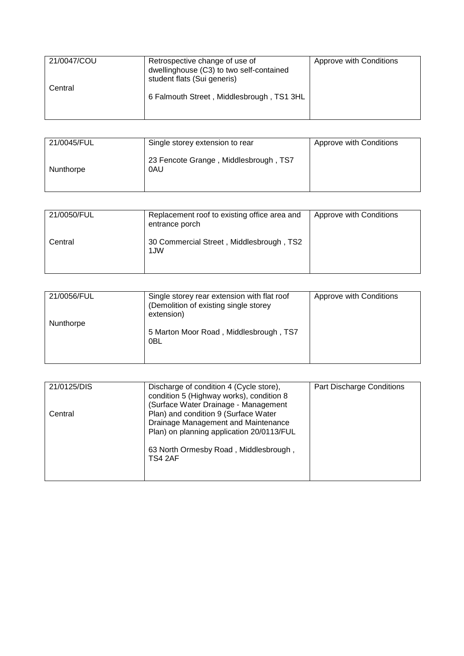| 21/0047/COU | Retrospective change of use of<br>dwellinghouse (C3) to two self-contained<br>student flats (Sui generis) | Approve with Conditions |
|-------------|-----------------------------------------------------------------------------------------------------------|-------------------------|
| Central     | 6 Falmouth Street, Middlesbrough, TS1 3HL                                                                 |                         |

| 21/0045/FUL | Single storey extension to rear              | Approve with Conditions |
|-------------|----------------------------------------------|-------------------------|
| Nunthorpe   | 23 Fencote Grange, Middlesbrough, TS7<br>0AU |                         |

| 21/0050/FUL | Replacement roof to existing office area and<br>entrance porch | Approve with Conditions |
|-------------|----------------------------------------------------------------|-------------------------|
| Central     | 30 Commercial Street, Middlesbrough, TS2<br>1JW                |                         |

| 21/0056/FUL | Single storey rear extension with flat roof<br>(Demolition of existing single storey<br>extension) | Approve with Conditions |
|-------------|----------------------------------------------------------------------------------------------------|-------------------------|
| Nunthorpe   | 5 Marton Moor Road, Middlesbrough, TS7<br>0BL                                                      |                         |

| 21/0125/DIS | Discharge of condition 4 (Cycle store),<br>condition 5 (Highway works), condition 8<br>(Surface Water Drainage - Management                                                  | Part Discharge Conditions |
|-------------|------------------------------------------------------------------------------------------------------------------------------------------------------------------------------|---------------------------|
| Central     | Plan) and condition 9 (Surface Water<br>Drainage Management and Maintenance<br>Plan) on planning application 20/0113/FUL<br>63 North Ormesby Road, Middlesbrough,<br>TS4 2AF |                           |